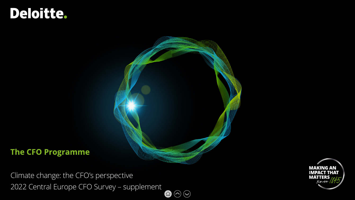# Deloitte.



### **The CFO Programme**

Climate change: the CFO's perspective 2022 Central Europe CFO Survey – supplement  $\mathbf{O}\odot\mathbf{O}$ 

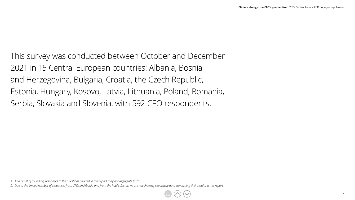This survey was conducted between October and December 2021 in 15 Central European countries: Albania, Bosnia and Herzegovina, Bulgaria, Croatia, the Czech Republic, Estonia, Hungary, Kosovo, Latvia, Lithuania, Poland, Romania, Serbia, Slovakia and Slovenia, with 592 CFO respondents.

*<sup>1.</sup> As a result of rounding, responses to the questions covered in this report may not aggregate to 100.*

*<sup>2.</sup> Due to the limited number of responses from CFOs in Albania and from the Public Sector, we are not showing separately data concerning their results in this report.*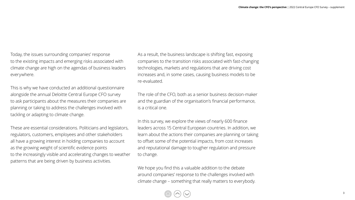Today, the issues surrounding companies' response to the existing impacts and emerging risks associated with climate change are high on the agendas of business leaders everywhere.

This is why we have conducted an additional questionnaire alongside the annual Deloitte Central Europe CFO survey to ask participants about the measures their companies are planning or taking to address the challenges involved with tackling or adapting to climate change.

These are essential considerations. Politicians and legislators, regulators, customers, employees and other stakeholders all have a growing interest in holding companies to account as the growing weight of scientific evidence points to the increasingly visible and accelerating changes to weather patterns that are being driven by business activities.

As a result, the business landscape is shifting fast, exposing companies to the transition risks associated with fast-changing technologies, markets and regulations that are driving cost increases and, in some cases, causing business models to be re-evaluated.

The role of the CFO, both as a senior business decision-maker and the guardian of the organisation's financial performance, is a critical one.

In this survey, we explore the views of nearly 600 finance leaders across 15 Central European countries. In addition, we learn about the actions their companies are planning or taking to offset some of the potential impacts, from cost increases and reputational damage to tougher regulation and pressure to change.

We hope you find this a valuable addition to the debate around companies' response to the challenges involved with climate change – something that really matters to everybody.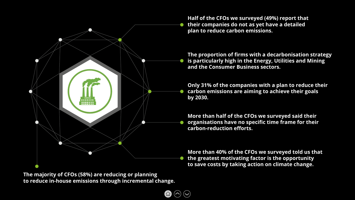

**The majority of CFOs (58%) are reducing or planning to reduce in-house emissions through incremental change.**

**Half of the CFOs we surveyed (49%) report that their companies do not as yet have a detailed plan to reduce carbon emissions.**

**The proportion of firms with a decarbonisation strategy is particularly high in the Energy, Utilities and Mining and the Consumer Business sectors.**

**Only 31% of the companies with a plan to reduce their carbon emissions are aiming to achieve their goals by 2030.** 

**More than half of the CFOs we surveyed said their organisations have no specific time frame for their carbon-reduction efforts.**

**More than 40% of the CFOs we surveyed told us that the greatest motivating factor is the opportunity to save costs by taking action on climate change.**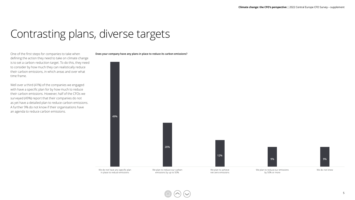### Contrasting plans, diverse targets

One of the first steps for companies to take when defining the action they need to take on climate change is to set a carbon-reduction target. To do this, they need to consider by how much they can realistically reduce their carbon emissions, in which areas and over what time frame.

Well over a third (41%) of the companies we engaged with have a specific plan for by how much to reduce their carbon emissions. However, half of the CFOs we surveyed (49%) report that their companies do not as yet have a detailed plan to reduce carbon emissions. A further 9% do not know if their organisations have an agenda to reduce carbon emissions.

**Does your company have any plans in place to reduce its carbon emissions?**

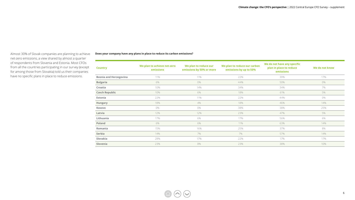Almost 30% of Slovak companies are planning to achieve net-zero emissions, a view shared by almost a quarter of respondents from Slovenia and Estonia. Most CFOs from all the countries participating in our survey (except for among those from Slovakia) told us their companies have no specific plans in place to reduce emissions.

#### **Does your company have any plans in place to reduce its carbon emissions?**

| We do not have any specific<br>We plan to reduce our<br>We plan to reduce our carbon<br>We plan to achieve net-zero<br>plan in place to reduce<br>We do not know<br><b>Country</b><br>emissions<br>emissions by 50% or more<br>emissions by up to 50%<br>emissions<br>22%<br>17%<br><b>Bosnia and Herzegovina</b><br>11%<br>11%<br>39%<br><b>Bulgaria</b><br>6%<br>$0\%$<br>44%<br>0%<br>50%<br>7%<br>Croatia<br>10%<br>14%<br>34%<br>34%<br><b>Czech Republic</b><br>6%<br>18%<br>5%<br>10%<br>61%<br>0%<br>Estonia<br>22%<br>11%<br>22%<br>44%<br>18%<br>4%<br>18%<br>14%<br>46%<br>Hungary<br>0%<br>38%<br>0%<br>38%<br>25%<br>Kosovo<br>12%<br>12%<br>23%<br>5%<br>Latvia<br>47%<br>17%<br>6%<br>17%<br>6%<br>Lithuania<br>56%<br>6%<br>6%<br>11%<br>14%<br>Poland<br>63%<br>8%<br>15%<br>16%<br>25%<br>Romania<br>37%<br>7%<br>Serbia<br>14%<br>7%<br>57%<br>14%<br>22%<br>Slovakia<br>28%<br>17%<br>17%<br>17%<br>8%<br>23%<br>23%<br>38%<br>10%<br>Slovenia |  |  |  |
|--------------------------------------------------------------------------------------------------------------------------------------------------------------------------------------------------------------------------------------------------------------------------------------------------------------------------------------------------------------------------------------------------------------------------------------------------------------------------------------------------------------------------------------------------------------------------------------------------------------------------------------------------------------------------------------------------------------------------------------------------------------------------------------------------------------------------------------------------------------------------------------------------------------------------------------------------------------------|--|--|--|
|                                                                                                                                                                                                                                                                                                                                                                                                                                                                                                                                                                                                                                                                                                                                                                                                                                                                                                                                                                    |  |  |  |
|                                                                                                                                                                                                                                                                                                                                                                                                                                                                                                                                                                                                                                                                                                                                                                                                                                                                                                                                                                    |  |  |  |
|                                                                                                                                                                                                                                                                                                                                                                                                                                                                                                                                                                                                                                                                                                                                                                                                                                                                                                                                                                    |  |  |  |
|                                                                                                                                                                                                                                                                                                                                                                                                                                                                                                                                                                                                                                                                                                                                                                                                                                                                                                                                                                    |  |  |  |
|                                                                                                                                                                                                                                                                                                                                                                                                                                                                                                                                                                                                                                                                                                                                                                                                                                                                                                                                                                    |  |  |  |
|                                                                                                                                                                                                                                                                                                                                                                                                                                                                                                                                                                                                                                                                                                                                                                                                                                                                                                                                                                    |  |  |  |
|                                                                                                                                                                                                                                                                                                                                                                                                                                                                                                                                                                                                                                                                                                                                                                                                                                                                                                                                                                    |  |  |  |
|                                                                                                                                                                                                                                                                                                                                                                                                                                                                                                                                                                                                                                                                                                                                                                                                                                                                                                                                                                    |  |  |  |
|                                                                                                                                                                                                                                                                                                                                                                                                                                                                                                                                                                                                                                                                                                                                                                                                                                                                                                                                                                    |  |  |  |
|                                                                                                                                                                                                                                                                                                                                                                                                                                                                                                                                                                                                                                                                                                                                                                                                                                                                                                                                                                    |  |  |  |
|                                                                                                                                                                                                                                                                                                                                                                                                                                                                                                                                                                                                                                                                                                                                                                                                                                                                                                                                                                    |  |  |  |
|                                                                                                                                                                                                                                                                                                                                                                                                                                                                                                                                                                                                                                                                                                                                                                                                                                                                                                                                                                    |  |  |  |
|                                                                                                                                                                                                                                                                                                                                                                                                                                                                                                                                                                                                                                                                                                                                                                                                                                                                                                                                                                    |  |  |  |
|                                                                                                                                                                                                                                                                                                                                                                                                                                                                                                                                                                                                                                                                                                                                                                                                                                                                                                                                                                    |  |  |  |
|                                                                                                                                                                                                                                                                                                                                                                                                                                                                                                                                                                                                                                                                                                                                                                                                                                                                                                                                                                    |  |  |  |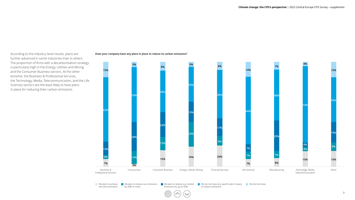According to the industry-level results, plans are further advanced in some industries than in others. The proportion of firms with a decarbonisation strategy is particularly high in the Energy, Utilities and Mining and the Consumer Business sectors. At the other extreme, the Business & Professional Services, the Technology, Media, Telecommunication, and the Life Sciences sectors are the least likely to have plans in place for reducing their carbon emissions.

#### **Does your company have any plans in place to reduce its carbon emissions?**



We plan to achieve **T** We plan to reduce our emissions T We plan to reduce our carbon T We do not have any specific plan in place T We do not know by 50% or more net-zero emissions emissions by up to 50%. to reduce emissions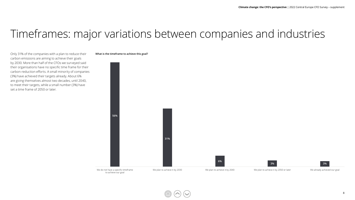### Timeframes: major variations between companies and industries

Only 31% of the companies with a plan to reduce their carbon emissions are aiming to achieve their goals by 2030. More than half of the CFOs we surveyed said their organisations have no specific time frame for their carbon-reduction efforts. A small minority of companies (3%) have achieved their targets already. About 6% are giving themselves almost two decades, until 2040, to meet their targets, while a small number (3%) have set a time frame of 2050 or later.

#### **What is the timeframe to achieve this goal?**

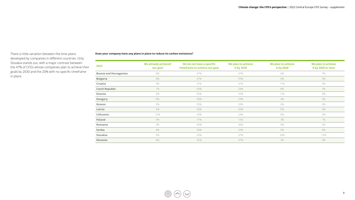There is little variation between the time-plans developed by companies in different countries. Only Slovakia stands out, with a major contrast between the 47% of CFOs whose companies plan to achieve their goals by 2030 and the 20% with no specific timeframe in place.

#### **Does your company have any plans in place to reduce its carbon emissions?**

| 2022                          | We already achieved<br>our goal | We do not have a specific<br>timeframe to achieve our goal | We plan to achieve<br>it by 2030 | We plan to achieve<br>it by 2040 | We plan to achieve<br>it by 2050 or later |
|-------------------------------|---------------------------------|------------------------------------------------------------|----------------------------------|----------------------------------|-------------------------------------------|
| <b>Bosnia and Herzegovina</b> | 0%                              | 47%                                                        | 47%                              | 0%                               | 7%                                        |
| <b>Bulgaria</b>               | 0%                              | 61%                                                        | 33%                              | 6%                               | 0%                                        |
| Croatia                       | 4%                              | 41%                                                        | 41%                              | 11%                              | 4%                                        |
| <b>Czech Republic</b>         | 1%                              | 64%                                                        | 24%                              | 8%                               | 3%                                        |
| Estonia                       | 0%                              | 56%                                                        | 33%                              | 11%                              | 0%                                        |
| Hungary                       | 0%                              | 58%                                                        | 33%                              | 4%                               | 4%                                        |
| Kosovo                        | 0%                              | 50%                                                        | 50%                              | 0%                               | 0%                                        |
| Latvia                        | 4%                              | 50%                                                        | 43%                              | $0\%$                            | 4%                                        |
| Lithuania                     | 12%                             | 59%                                                        | 24%                              | 6%                               | 0%                                        |
| Poland                        | 4%                              | 77%                                                        | 15%                              | 3%                               | 1%                                        |
| Romania                       | 3%                              | 46%                                                        | 36%                              | 9%                               | 6%                                        |
| Serbia                        | 8%                              | 58%                                                        | 33%                              | 0%                               | 0%                                        |
| Slovakia                      | 0%                              | 20%                                                        | 47%                              | 20%                              | 13%                                       |
| Slovenia                      | 6%                              | 42%                                                        | 47%                              | 3%                               | 3%                                        |

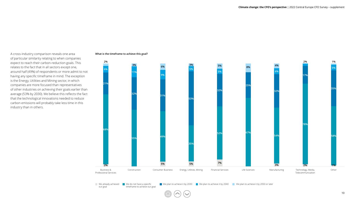A cross-industry comparison reveals one area of particular similarity relating to when companies expect to reach their carbon-reduction goals. This relates to the fact that in all sectors except one, around half (49%) of respondents or more admit to not having any specific timeframe in mind. The exception is the Energy, Utilities and Mining sector, in which companies are more focused than representatives of other industries on achieving their goals earlier than average (53% by 2030). We believe this reflects the fact that the technological innovations needed to reduce carbon emissions will probably take less time in this industry than in others.

#### **What is the timeframe to achieve this goal?**



We already achieved **We do not have a specific We plan to achieve it by 2030** timeframe to achieve our goal our goal We plan to achieve it by 2030 We plan to achieve it by 2040 We plan to achieve it by 2050 or later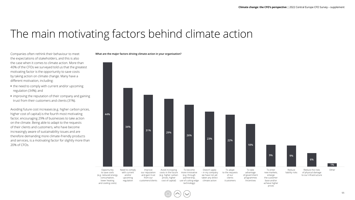## The main motivating factors behind climate action

Companies often rethink their behaviour to meet the expectations of stakeholders, and this is also the case when it comes to climate action. More than 40% of the CFOs we surveyed told us that the greatest motivating factor is the opportunity to save costs by taking action on climate change. Many have a different motivation, including:

- **•** the need to comply with current and/or upcoming regulation (34%); and
- **•** improving the reputation of their company and gaining trust from their customers and clients (31%).

Avoiding future cost increases (e.g. higher carbon prices, higher cost of capital) is the fourth most motivating factor, encouraging 29% of businesses to take action on the climate. Being able to adapt to the requests of their clients and customers, who have become increasingly aware of sustainability issues and are therefore demanding more climate-friendly products and services, is a motivating factor for slightly more than 20% of CFOs.

#### **What are the major factors driving climate action in your organisation?**

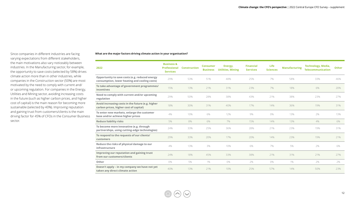Since companies in different industries are facing varying expectations from different stakeholders, the main motivations also vary noticeably between industries. In the Manufacturing sector, for example, the opportunity to save costs (selected by 58%) drives climate action more than in other industries, while companies in the Construction sector (50%) are most motivated by the need to comply with current and/ or upcoming regulation. For companies in the Energy, Utilities and Mining sector, avoiding increasing costs in the future (such as higher carbon prices, and higher cost of capital) is the main reason for becoming more sustainable (selected by 40%). Improving reputation and gaining trust from customers/clients is the main driving factor for 45% of CFOs in the Consumer Business sector.

#### **What are the major factors driving climate action in your organisation?**

| 2022                                                                                            | <b>Business &amp;</b><br><b>Professional</b><br><b>Services</b> | <b>Construction</b> | <b>Consumer</b><br><b>Business</b> | Energy,<br><b>Utilities, Mining</b> | <b>Financial</b><br><b>Services</b> | Life<br><b>Sciences</b> | <b>Manufacturing</b> | <b>Technology, Media,</b><br><b>Telecommunication</b> | Other |
|-------------------------------------------------------------------------------------------------|-----------------------------------------------------------------|---------------------|------------------------------------|-------------------------------------|-------------------------------------|-------------------------|----------------------|-------------------------------------------------------|-------|
| Opportunity to save costs (e.g. reduced energy<br>consumption, lower heating and cooling costs) | 29%                                                             | 53%                 | 51%                                | 48%                                 | 25%                                 | 7%                      | 58%                  | 33%                                                   | 46%   |
| To take advantage of government programmes/<br>incentives                                       | 15%                                                             | 13%                 | 21%                                | 31%                                 | 23%                                 | 7%                      | 18%                  | 6%                                                    | 20%   |
| Need to comply with current and/or upcoming<br>regulation                                       | 29%                                                             | 50%                 | 28%                                | 38%                                 | 43%                                 | 21%                     | 38%                  | 23%                                                   | 27%   |
| Avoid increasing costs in the future (e.g. higher<br>carbon prices, higher cost of capital)     | 18%                                                             | 30%                 | 31%                                | 40%                                 | 17%                                 | 14%                     | 36%                  | 19%                                                   | 31%   |
| To enter new markets, enlarge the customer<br>base and/or achieve higher prices                 | 4%                                                              | 10%                 | 6%                                 | 12%                                 | 9%                                  | 0%                      | 13%                  | 2%                                                    | 13%   |
| <b>Reduce liability risks</b>                                                                   | 5%                                                              | 8%                  | 6%                                 | 7%                                  | 15%                                 | 14%                     | 13%                  | 4%                                                    | 6%    |
| To become more innovative (e.g. through<br>partnerships, using cutting-edge technologies)       | 24%                                                             | 33%                 | 25%                                | 36%                                 | 28%                                 | 21%                     | 23%                  | 19%                                                   | 31%   |
| To respond to the requests of our clients/<br>customers                                         | 29%                                                             | 33%                 | 20%                                | 17%                                 | 20%                                 | 14%                     | 23%                  | 19%                                                   | 21%   |
| Reduce the risks of physical damage to our<br>infrastructure                                    | 4%                                                              | 13%                 | 3%                                 | 10%                                 | 6%                                  | 7%                      | 5%                   | 7%                                                    | 6%    |
| Improving our reputation and gaining trust<br>from our customers/clients                        | 24%                                                             | 18%                 | 45%                                | 33%                                 | 38%                                 | 21%                     | 31%                  | 21%                                                   | 27%   |
| Other                                                                                           | 0%                                                              | 5%                  | $1\%$                              | 0%                                  | 2%                                  | 0%                      | 1%                   | 2%                                                    | 2%    |
| Doesn't apply - in my company we have not yet<br>taken any direct climate action                | 40%                                                             | 13%                 | 21%                                | 10%                                 | 25%                                 | 57%                     | 14%                  | 50%                                                   | 23%   |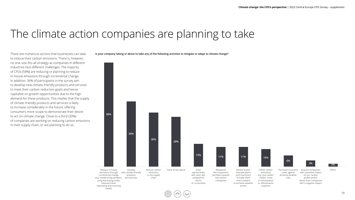### The climate action companies are planning to take

There are numerous actions that businesses can take to reduce their carbon emissions. There is, however, no one-size-fits-all strategy as companies in different industries face different challenges. The majority of CFOs (58%) are reducing or planning to reduce in-house emissions through incremental change. In addition, 36% of participants in the survey aim to develop new climate-friendly products and services to meet their carbon-reduction goals and hence capitalise on growth opportunities due to the high demand for these products. This implies that the supply of climate-friendly products and services is likely to increase considerably in the future, offering consumers more scope to demonstrate their desire to act on climate change. Close to a third (30%) of companies are working on reducing carbon emissions in their supply chain, or are planning to do so.

**Is your company taking or about to take any of the following activities to mitigate or adapt to climate change?**

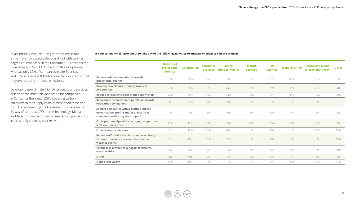At an industry level, reducing in-house emissions is the first choice across the board, but with varying degrees of emphasis. In the Consumer Business sector, for example, 75% of CFOs mention this as a priority, whereas only 29% of companies in Life Sciences and 35% in Business & Professional Services report that they are reducing in-house emissions.

Developing new climate-friendly products and services is seen as the most relevant action for companies in Consumer Business (52%). Reducing carbon emissions in the supply chain is mentioned most also by CFOs representing the Consumer Business sector. By way of contrast, CFOs in the Technology, Media and Telecommunication sector see reducing emissions in the supply chain as least relevant.

#### **Is your company taking or about to take any of the following activities to mitigate or adapt to climate change?**

|                                                                                                                          | <b>Business &amp;</b><br>Professional<br><b>Services</b> | <b>Construction</b> | <b>Consumer</b><br><b>Business</b> | Energy,<br><b>Utilities, Mining</b> | <b>Financial</b><br><b>Services</b> | Life<br><b>Sciences</b> | <b>Manufacturing</b> | <b>Technology, Media,</b><br><b>Telecommunication</b> | <b>Other</b> |
|--------------------------------------------------------------------------------------------------------------------------|----------------------------------------------------------|---------------------|------------------------------------|-------------------------------------|-------------------------------------|-------------------------|----------------------|-------------------------------------------------------|--------------|
| Reduce in-house emissions through<br>incremental change                                                                  | 35%                                                      | 68%                 | 75%                                | 64%                                 | 35%                                 | 29%                     | 66%                  | 46%                                                   | 64%          |
| Develop new climate-friendly products<br>and services                                                                    | 24%                                                      | 38%                 | 52%                                | 26%                                 | 37%                                 | 21%                     | 49%                  | 21%                                                   | 28%          |
| Reduce carbon emissions in the supply chain                                                                              | 22%                                                      | 38%                 | 46%                                | 33%                                 | 18%                                 | 29%                     | 35%                  | 10%                                                   | 29%          |
| Rebalance the investment portfolio towards<br>low-carbon companies                                                       | 4%                                                       | 20%                 | 7%                                 | 19%                                 | 37%                                 | 7%                      | 3%                   | 4%                                                    | 6%           |
| Acquire companies with a positive impact<br>on our carbon profile and/or divest from<br>companies with a negative impact | 7%                                                       | 3%                  | 3%                                 | 10%                                 | 5%                                  | 0%                      | 0%                   | 2%                                                    | 5%           |
| Enter partnerships with start-ups, competitors,<br><b>NGOs or universities</b>                                           | 13%                                                      | 13%                 | 13%                                | 19%                                 | 20%                                 | 7%                      | 12%                  | 15%                                                   | 7%           |
| Offset carbon emissions                                                                                                  | 7%                                                       | 10%                 | 11%                                | 14%                                 | 3%                                  | 0%                      | 9%                   | 10%                                                   | 15%          |
| Renew and/or relocate plants and machinery<br>to make them more resilient to extreme<br>weather events                   | 7%                                                       | 15%                 | 11%                                | 17%                                 | 8%                                  | 0%                      | 11%                  | 6%                                                    | 15%          |
| Purchase insurance cover against extreme<br>weather risks                                                                | 4%                                                       | 8%                  | 3%                                 | 14%                                 | 3%                                  | 0%                      | 6%                   | 4%                                                    | 10%          |
| Other                                                                                                                    | 2%                                                       | 0%                  | 0%                                 | 7%                                  | 0%                                  | 0%                      | 1%                   | 0%                                                    | 3%           |
| None of the above                                                                                                        | 49%                                                      | 18%                 | 17%                                | 17%                                 | 35%                                 | 64%                     | 22%                  | 42%                                                   | 24%          |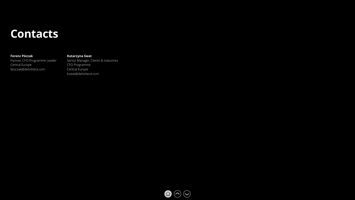### **Contacts**

#### **Ferenc Póczak**

Partner, CFO Programme Leader Central Europe fpoczak@deloittece.com

#### **Katarzyna Swat**

Senior Manager, Clients & Industries CFO Programme Central Europe kswat@deloittece.com